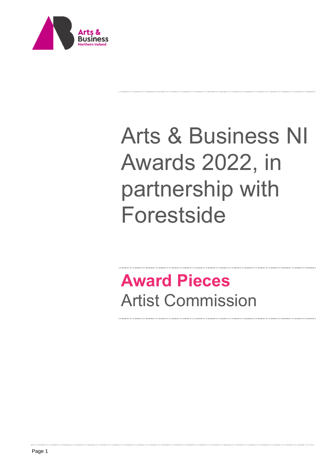

# Arts & Business NI Awards 2022, in partnership with Forestside

. . . . . . . . . . . . . . . . .

## **Award Pieces**  Artist Commission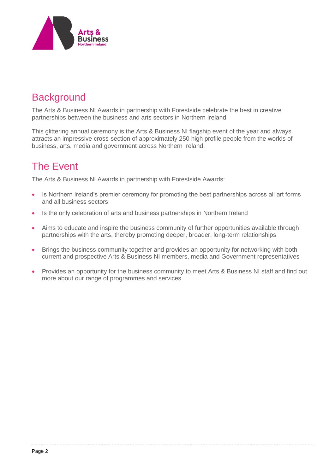

### **Background**

The Arts & Business NI Awards in partnership with Forestside celebrate the best in creative partnerships between the business and arts sectors in Northern Ireland.

This glittering annual ceremony is the Arts & Business NI flagship event of the year and always attracts an impressive cross-section of approximately 250 high profile people from the worlds of business, arts, media and government across Northern Ireland.

### The Event

The Arts & Business NI Awards in partnership with Forestside Awards:

- Is Northern Ireland's premier ceremony for promoting the best partnerships across all art forms and all business sectors
- Is the only celebration of arts and business partnerships in Northern Ireland
- Aims to educate and inspire the business community of further opportunities available through partnerships with the arts, thereby promoting deeper, broader, long-term relationships
- Brings the business community together and provides an opportunity for networking with both current and prospective Arts & Business NI members, media and Government representatives
- Provides an opportunity for the business community to meet Arts *&* Business NI staff and find out more about our range of programmes and services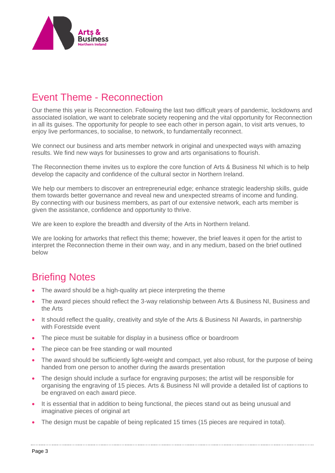

### Event Theme - Reconnection

Our theme this year is Reconnection. Following the last two difficult years of pandemic, lockdowns and associated isolation, we want to celebrate society reopening and the vital opportunity for Reconnection in all its guises. The opportunity for people to see each other in person again, to visit arts venues, to enjoy live performances, to socialise, to network, to fundamentally reconnect.

We connect our business and arts member network in original and unexpected ways with amazing results. We find new ways for businesses to grow and arts organisations to flourish.

The Reconnection theme invites us to explore the core function of Arts & Business NI which is to help develop the capacity and confidence of the cultural sector in Northern Ireland.

We help our members to discover an entrepreneurial edge; enhance strategic leadership skills, guide them towards better governance and reveal new and unexpected streams of income and funding. By connecting with our business members, as part of our extensive network, each arts member is given the assistance, confidence and opportunity to thrive.

We are keen to explore the breadth and diversity of the Arts in Northern Ireland.

We are looking for artworks that reflect this theme; however, the brief leaves it open for the artist to interpret the Reconnection theme in their own way, and in any medium, based on the brief outlined below

### Briefing Notes

- The award should be a high-quality art piece interpreting the theme
- The award pieces should reflect the 3-way relationship between Arts & Business NI, Business and the Arts
- It should reflect the quality, creativity and style of the Arts & Business NI Awards, in partnership with Forestside event
- The piece must be suitable for display in a business office or boardroom
- The piece can be free standing or wall mounted
- The award should be sufficiently light-weight and compact, yet also robust, for the purpose of being handed from one person to another during the awards presentation
- The design should include a surface for engraving purposes; the artist will be responsible for organising the engraving of 15 pieces. Arts & Business NI will provide a detailed list of captions to be engraved on each award piece.
- It is essential that in addition to being functional, the pieces stand out as being unusual and imaginative pieces of original art
- The design must be capable of being replicated 15 times (15 pieces are required in total).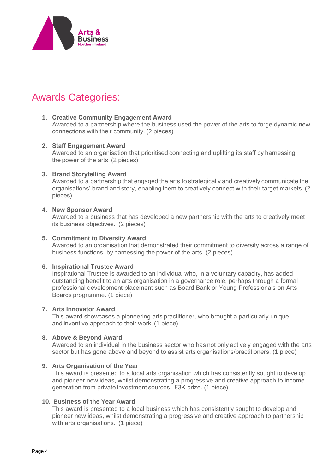

### Awards Categories:

#### **1. Creative Community Engagement Award**

Awarded to a partnership where the business used the power of the arts to forge dynamic new connections with their community. (2 pieces)

#### **2. Staff Engagement Award**

Awarded to an organisation that prioritised connecting and uplifting its staff by harnessing the power of the arts. (2 pieces)

#### **3. Brand Storytelling Award**

Awarded to a partnership that engaged the arts to strategically and creatively communicate the organisations' brand and story, enabling them to creatively connect with their target markets. (2 pieces)

#### **4. New Sponsor Award**

Awarded to a business that has developed a new partnership with the arts to creatively meet its business objectives.  (2 pieces)

#### **5. Commitment to Diversity Award**

Awarded to an organisation that demonstrated their commitment to diversity across a range of business functions, by harnessing the power of the arts. (2 pieces)

#### **6. Inspirational Trustee Award**

Inspirational Trustee is awarded to an individual who, in a voluntary capacity, has added outstanding benefit to an arts organisation in a governance role, perhaps through a formal professional development placement such as Board Bank or Young Professionals on Arts Boards programme. (1 piece)

#### **7. Arts Innovator Award**

This award showcases a pioneering arts practitioner, who brought a particularly unique and inventive approach to their work. (1 piece)

#### **8. Above & Beyond Award**

Awarded to an individual in the business sector who has not only actively engaged with the arts sector but has gone above and beyond to assist arts organisations/practitioners. (1 piece)

#### **9. Arts Organisation of the Year**

This award is presented to a local arts organisation which has consistently sought to develop and pioneer new ideas, whilst demonstrating a progressive and creative approach to income generation from private investment sources.  £3K prize. (1 piece)

#### **10. Business of the Year Award**

This award is presented to a local business which has consistently sought to develop and pioneer new ideas, whilst demonstrating a progressive and creative approach to partnership with arts organisations.  (1 piece)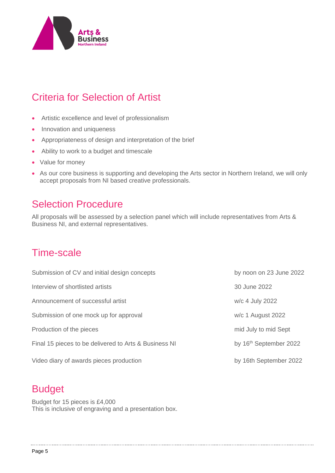

### Criteria for Selection of Artist

- Artistic excellence and level of professionalism
- Innovation and uniqueness
- Appropriateness of design and interpretation of the brief
- Ability to work to a budget and timescale
- Value for money
- As our core business is supporting and developing the Arts sector in Northern Ireland, we will only accept proposals from NI based creative professionals.

### Selection Procedure

All proposals will be assessed by a selection panel which will include representatives from Arts & Business NI, and external representatives.

### Time-scale

| Submission of CV and initial design concepts          | by noon on 23 June 2022            |
|-------------------------------------------------------|------------------------------------|
| Interview of shortlisted artists                      | 30 June 2022                       |
| Announcement of successful artist                     | w/c 4 July 2022                    |
| Submission of one mock up for approval                | $w/c$ 1 August 2022                |
| Production of the pieces                              | mid July to mid Sept               |
| Final 15 pieces to be delivered to Arts & Business NI | by 16 <sup>th</sup> September 2022 |
| Video diary of awards pieces production               | by 16th September 2022             |

### Budget

Budget for 15 pieces is £4,000 This is inclusive of engraving and a presentation box.